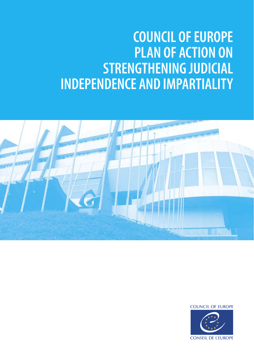# **COUNCIL OF EUROPE PLAN OF ACTION ON STRENGTHENING JUDICIAL INDEPENDENCE AND IMPARTIALITY**



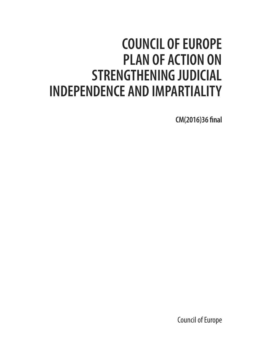## **COUNCIL OF EUROPE PLAN OF ACTION ON STRENGTHENING JUDICIAL INDEPENDENCE AND IMPARTIALITY**

**CM(2016)36 final**

Council of Europe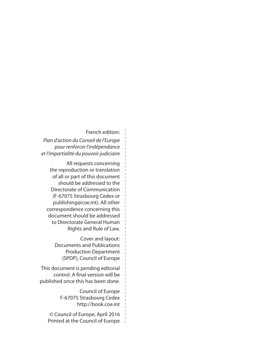#### French edition:

*Plan d'action du Conseil de l'Europe pour renforcer l'indépendance et l'impartialité du pouvoir judiciaire*

All requests concerning the reproduction or translation of all or part of this document should be addressed to the Directorate of Communication (F-67075 Strasbourg Cedex or publishing@coe.int). All other correspondence concerning this document should be addressed to Directorate General Human Rights and Rule of Law.

> Cover and layout: Documents and Publications Production Department (SPDP), Council of Europe

This document is pending editorial control. A final version will be published once this has been done.

> Council of Europe F-67075 Strasbourg Cedex http://book.coe.int

© Council of Europe, April 2016 Printed at the Council of Europe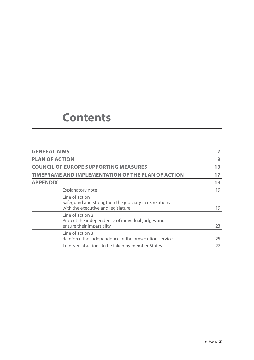## **Contents**

| <b>GENERAL AIMS</b>                                                                                               | 7  |
|-------------------------------------------------------------------------------------------------------------------|----|
| <b>PLAN OF ACTION</b>                                                                                             | 9  |
| <b>COUNCIL OF EUROPE SUPPORTING MEASURES</b>                                                                      | 13 |
| TIMEFRAME AND IMPLEMENTATION OF THE PLAN OF ACTION                                                                | 17 |
| <b>APPENDIX</b>                                                                                                   | 19 |
| <b>Explanatory note</b>                                                                                           | 19 |
| Line of action 1<br>Safeguard and strengthen the judiciary in its relations<br>with the executive and legislature | 19 |
| Line of action 2<br>Protect the independence of individual judges and<br>ensure their impartiality                | 23 |
| Line of action 3<br>Reinforce the independence of the prosecution service                                         | 25 |
| Transversal actions to be taken by member States                                                                  | 27 |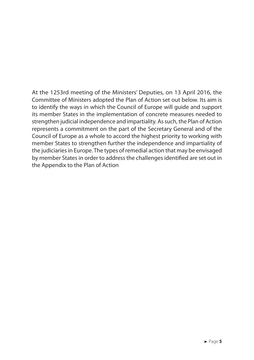At the 1253rd meeting of the Ministers' Deputies, on 13 April 2016, the Committee of Ministers adopted the Plan of Action set out below. Its aim is to identify the ways in which the Council of Europe will guide and support its member States in the implementation of concrete measures needed to strengthen judicial independence and impartiality. As such, the Plan of Action represents a commitment on the part of the Secretary General and of the Council of Europe as a whole to accord the highest priority to working with member States to strengthen further the independence and impartiality of the judiciaries in Europe. The types of remedial action that may be envisaged by member States in order to address the challenges identified are set out in the Appendix to the Plan of Action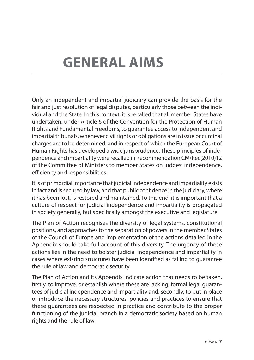# **GENERAL AIMS**

Only an independent and impartial judiciary can provide the basis for the fair and just resolution of legal disputes, particularly those between the individual and the State. In this context, it is recalled that all member States have undertaken, under Article 6 of the Convention for the Protection of Human Rights and Fundamental Freedoms, to guarantee access to independent and impartial tribunals, whenever civil rights or obligations are in issue or criminal charges are to be determined; and in respect of which the European Court of Human Rights has developed a wide jurisprudence. These principles of independence and impartiality were recalled in Recommendation CM/Rec(2010)12 of the Committee of Ministers to member States on judges: independence, efficiency and responsibilities.

It is of primordial importance that judicial independence and impartiality exists in fact and is secured by law, and that public confidence in the judiciary, where it has been lost, is restored and maintained. To this end, it is important that a culture of respect for judicial independence and impartiality is propagated in society generally, but specifically amongst the executive and legislature.

The Plan of Action recognises the diversity of legal systems, constitutional positions, and approaches to the separation of powers in the member States of the Council of Europe and implementation of the actions detailed in the Appendix should take full account of this diversity. The urgency of these actions lies in the need to bolster judicial independence and impartiality in cases where existing structures have been identified as failing to guarantee the rule of law and democratic security.

The Plan of Action and its Appendix indicate action that needs to be taken, firstly, to improve, or establish where these are lacking, formal legal guarantees of judicial independence and impartiality and, secondly, to put in place or introduce the necessary structures, policies and practices to ensure that these guarantees are respected in practice and contribute to the proper functioning of the judicial branch in a democratic society based on human rights and the rule of law.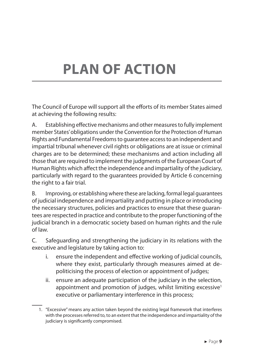# **PLAN OF ACTION**

The Council of Europe will support all the efforts of its member States aimed at achieving the following results:

A. Establishing effective mechanisms and other measures to fully implement member States' obligations under the Convention for the Protection of Human Rights and Fundamental Freedoms to guarantee access to an independent and impartial tribunal whenever civil rights or obligations are at issue or criminal charges are to be determined; these mechanisms and action including all those that are required to implement the judgments of the European Court of Human Rights which affect the independence and impartiality of the judiciary, particularly with regard to the guarantees provided by Article 6 concerning the right to a fair trial.

B. Improving, or establishing where these are lacking, formal legal guarantees of judicial independence and impartiality and putting in place or introducing the necessary structures, policies and practices to ensure that these guarantees are respected in practice and contribute to the proper functioning of the judicial branch in a democratic society based on human rights and the rule of law.

C. Safeguarding and strengthening the judiciary in its relations with the executive and legislature by taking action to:

- i. ensure the independent and effective working of judicial councils, where they exist, particularly through measures aimed at depoliticising the process of election or appointment of judges;
- ii. ensure an adequate participation of the judiciary in the selection, appointment and promotion of judges, whilst limiting excessive<sup>1</sup> executive or parliamentary interference in this process;

<sup>1.</sup> "Excessive" means any action taken beyond the existing legal framework that interferes with the processes referred to, to an extent that the independence and impartiality of the judiciary is significantly compromised.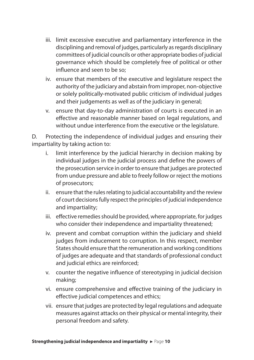- iii. limit excessive executive and parliamentary interference in the disciplining and removal of judges, particularly as regards disciplinary committees of judicial councils or other appropriate bodies of judicial governance which should be completely free of political or other influence and seen to be so;
- iv. ensure that members of the executive and legislature respect the authority of the judiciary and abstain from improper, non-objective or solely politically-motivated public criticism of individual judges and their judgements as well as of the judiciary in general;
- v. ensure that day-to-day administration of courts is executed in an effective and reasonable manner based on legal regulations, and without undue interference from the executive or the legislature.

D. Protecting the independence of individual judges and ensuring their impartiality by taking action to:

- i. limit interference by the judicial hierarchy in decision making by individual judges in the judicial process and define the powers of the prosecution service in order to ensure that judges are protected from undue pressure and able to freely follow or reject the motions of prosecutors;
- ii. ensure that the rules relating to judicial accountability and the review of court decisions fully respect the principles of judicial independence and impartiality;
- iii. effective remedies should be provided, where appropriate, for judges who consider their independence and impartiality threatened;
- iv. prevent and combat corruption within the judiciary and shield judges from inducement to corruption. In this respect, member States should ensure that the remuneration and working conditions of judges are adequate and that standards of professional conduct and judicial ethics are reinforced;
- v. counter the negative influence of stereotyping in judicial decision making;
- vi. ensure comprehensive and effective training of the judiciary in effective judicial competences and ethics;
- vii. ensure that judges are protected by legal regulations and adequate measures against attacks on their physical or mental integrity, their personal freedom and safety.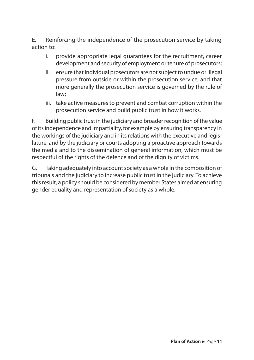E. Reinforcing the independence of the prosecution service by taking action to:

- i. provide appropriate legal guarantees for the recruitment, career development and security of employment or tenure of prosecutors;
- ii. ensure that individual prosecutors are not subject to undue or illegal pressure from outside or within the prosecution service, and that more generally the prosecution service is governed by the rule of law;
- iii. take active measures to prevent and combat corruption within the prosecution service and build public trust in how it works.

F. Building public trust in the judiciary and broader recognition of the value of its independence and impartiality, for example by ensuring transparency in the workings of the judiciary and in its relations with the executive and legislature, and by the judiciary or courts adopting a proactive approach towards the media and to the dissemination of general information, which must be respectful of the rights of the defence and of the dignity of victims.

G. Taking adequately into account society as a whole in the composition of tribunals and the judiciary to increase public trust in the judiciary. To achieve this result, a policy should be considered by member States aimed at ensuring gender equality and representation of society as a whole.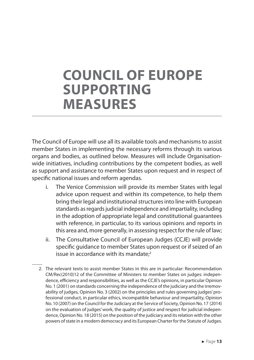## **COUNCIL OF EUROPE SUPPORTING MEASURES**

The Council of Europe will use all its available tools and mechanisms to assist member States in implementing the necessary reforms through its various organs and bodies, as outlined below. Measures will include Organisationwide initiatives, including contributions by the competent bodies, as well as support and assistance to member States upon request and in respect of specific national issues and reform agendas.

- i. The Venice Commission will provide its member States with legal advice upon request and within its competence, to help them bring their legal and institutional structures into line with European standards as regards judicial independence and impartiality, including in the adoption of appropriate legal and constitutional guarantees with reference, in particular, to its various opinions and reports in this area and, more generally, in assessing respect for the rule of law;
- ii. The Consultative Council of European Judges (CCJE) will provide specific guidance to member States upon request or if seized of an issue in accordance with its mandate;<sup>2</sup>
- 2. The relevant texts to assist member States in this are in particular: Recommendation CM/Rec(2010)12 of the Committee of Ministers to member States on judges: independence, efficiency and responsibilities, as well as the CCJE's opinions, in particular Opinion No. 1 (2001) on standards concerning the independence of the judiciary and the irremovability of judges, Opinion No. 3 (2002) on the principles and rules governing judges' professional conduct, in particular ethics, incompatible behaviour and impartiality, Opinion No. 10 (2007) on the Council for the Judiciary at the Service of Society, Opinion No. 17 (2014) on the evaluation of judges' work, the quality of justice and respect for judicial independence, Opinion No. 18 (2015) on the position of the judiciary and its relation with the other powers of state in a modern democracy and its European Charter for the Statute of Judges.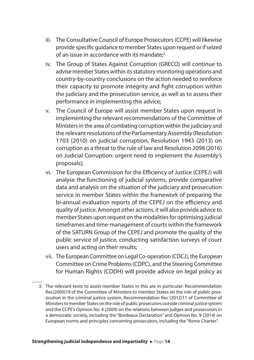- iii. The Consultative Council of Europe Prosecutors (CCPE) will likewise provide specific guidance to member States upon request or if seized of an issue in accordance with its mandate;<sup>3</sup>
- iv. The Group of States Against Corruption (GRECO) will continue to advise member States within its statutory monitoring operations and country-by-country conclusions on the action needed to reinforce their capacity to promote integrity and fight corruption within the judiciary and the prosecution service, as well as to assess their performance in implementing this advice;
- v. The Council of Europe will assist member States upon request in implementing the relevant recommendations of the Committee of Ministers in the area of combating corruption within the judiciary and the relevant resolutions of the Parliamentary Assembly (Resolution 1703 (2010) on judicial corruption, Resolution 1943 (2013) on corruption as a threat to the rule of law and Resolution 2098 (2016) on Judicial Corruption: urgent need to implement the Assembly's proposals);
- vi. The European Commission for the Efficiency of Justice (CEPEJ) will analyse the functioning of judicial systems, provide comparative data and analysis on the situation of the judiciary and prosecution service in member States within the framework of preparing the bi-annual evaluation reports of the CEPEJ on the efficiency and quality of justice. Amongst other actions, it will also provide advice to member States upon request on the modalities for optimising judicial timeframes and time-management of courts within the framework of the SATURN Group of the CEPEJ and promote the quality of the public service of justice, conducting satisfaction surveys of court users and acting on their results;
- vii. The European Committee on Legal Co-operation (CDCJ), the European Committee on Crime Problems (CDPC), and the Steering Committee for Human Rights (CDDH) will provide advice on legal policy as

<sup>3.</sup> The relevant texts to assist member States in this are in particular: Recommendation Rec(2000)19 of the Committee of Ministers to member States on the role of public prosecution in the criminal justice system, Recommendation Rec (2012)11 of Committee of Ministers to member States on the role of public prosecutors outside criminal justice system and the CCPE's Opinion No. 4 (2009) on the relations between judges and prosecutors in a democratic society, including the "Bordeaux Declaration" and Opinion No. 9 (2014) on European norms and principles concerning prosecutors, including the "Rome Charter".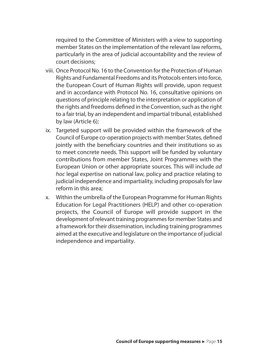required to the Committee of Ministers with a view to supporting member States on the implementation of the relevant law reforms, particularly in the area of judicial accountability and the review of court decisions;

- viii. Once Protocol No. 16 to the Convention for the Protection of Human Rights and Fundamental Freedoms and its Protocols enters into force, the European Court of Human Rights will provide, upon request and in accordance with Protocol No. 16, consultative opinions on questions of principle relating to the interpretation or application of the rights and freedoms defined in the Convention, such as the right to a fair trial, by an independent and impartial tribunal, established by law (Article 6);
- ix. Targeted support will be provided within the framework of the Council of Europe co-operation projects with member States, defined jointly with the beneficiary countries and their institutions so as to meet concrete needs. This support will be funded by voluntary contributions from member States, Joint Programmes with the European Union or other appropriate sources. This will include *ad hoc* legal expertise on national law, policy and practice relating to judicial independence and impartiality, including proposals for law reform in this area;
- x. Within the umbrella of the European Programme for Human Rights Education for Legal Practitioners (HELP) and other co-operation projects, the Council of Europe will provide support in the development of relevant training programmes for member States and a framework for their dissemination, including training programmes aimed at the executive and legislature on the importance of judicial independence and impartiality.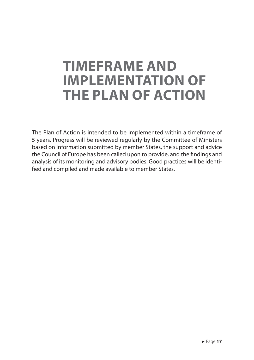## **TIMEFRAME AND IMPLEMENTATION OF THE PLAN OF ACTION**

The Plan of Action is intended to be implemented within a timeframe of 5 years. Progress will be reviewed regularly by the Committee of Ministers based on information submitted by member States, the support and advice the Council of Europe has been called upon to provide, and the findings and analysis of its monitoring and advisory bodies. Good practices will be identified and compiled and made available to member States.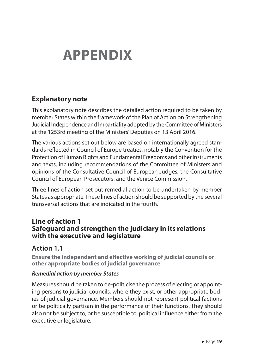## **Explanatory note**

This explanatory note describes the detailed action required to be taken by member States within the framework of the Plan of Action on Strengthening Judicial Independence and Impartiality adopted by the Committee of Ministers at the 1253rd meeting of the Ministers' Deputies on 13 April 2016.

The various actions set out below are based on internationally agreed standards reflected in Council of Europe treaties, notably the Convention for the Protection of Human Rights and Fundamental Freedoms and other instruments and texts, including recommendations of the Committee of Ministers and opinions of the Consultative Council of European Judges, the Consultative Council of European Prosecutors, and the Venice Commission.

Three lines of action set out remedial action to be undertaken by member States as appropriate. These lines of action should be supported by the several transversal actions that are indicated in the fourth.

#### **Line of action 1 Safeguard and strengthen the judiciary in its relations with the executive and legislature**

#### **Action 1.1**

**Ensure the independent and effective working of judicial councils or other appropriate bodies of judicial governance**

#### *Remedial action by member States*

Measures should be taken to de-politicise the process of electing or appointing persons to judicial councils, where they exist, or other appropriate bodies of judicial governance. Members should not represent political factions or be politically partisan in the performance of their functions. They should also not be subject to, or be susceptible to, political influence either from the executive or legislature.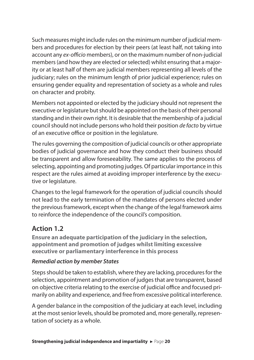Such measures might include rules on the minimum number of judicial members and procedures for election by their peers (at least half, not taking into account any *ex-officio* members), or on the maximum number of non-judicial members (and how they are elected or selected) whilst ensuring that a majority or at least half of them are judicial members representing all levels of the judiciary; rules on the minimum length of prior judicial experience; rules on ensuring gender equality and representation of society as a whole and rules on character and probity.

Members not appointed or elected by the judiciary should not represent the executive or legislature but should be appointed on the basis of their personal standing and in their own right. It is desirable that the membership of a judicial council should not include persons who hold their position *de facto* by virtue of an executive office or position in the legislature.

The rules governing the composition of judicial councils or other appropriate bodies of judicial governance and how they conduct their business should be transparent and allow foreseeability. The same applies to the process of selecting, appointing and promoting judges. Of particular importance in this respect are the rules aimed at avoiding improper interference by the executive or legislature.

Changes to the legal framework for the operation of judicial councils should not lead to the early termination of the mandates of persons elected under the previous framework, except when the change of the legal framework aims to reinforce the independence of the council's composition.

## **Action 1.2**

**Ensure an adequate participation of the judiciary in the selection, appointment and promotion of judges whilst limiting excessive executive or parliamentary interference in this process**

#### *Remedial action by member States*

Steps should be taken to establish, where they are lacking, procedures for the selection, appointment and promotion of judges that are transparent, based on objective criteria relating to the exercise of judicial office and focused primarily on ability and experience, and free from excessive political interference.

A gender balance in the composition of the judiciary at each level, including at the most senior levels, should be promoted and, more generally, representation of society as a whole.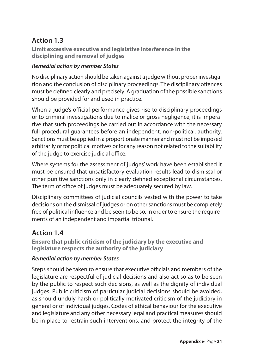## **Action 1.3**

**Limit excessive executive and legislative interference in the disciplining and removal of judges**

#### *Remedial action by member States*

No disciplinary action should be taken against a judge without proper investigation and the conclusion of disciplinary proceedings. The disciplinary offences must be defined clearly and precisely. A graduation of the possible sanctions should be provided for and used in practice.

When a judge's official performance gives rise to disciplinary proceedings or to criminal investigations due to malice or gross negligence, it is imperative that such proceedings be carried out in accordance with the necessary full procedural guarantees before an independent, non-political, authority. Sanctions must be applied in a proportionate manner and must not be imposed arbitrarily or for political motives or for any reason not related to the suitability of the judge to exercise judicial office.

Where systems for the assessment of judges' work have been established it must be ensured that unsatisfactory evaluation results lead to dismissal or other punitive sanctions only in clearly defined exceptional circumstances. The term of office of judges must be adequately secured by law.

Disciplinary committees of judicial councils vested with the power to take decisions on the dismissal of judges or on other sanctions must be completely free of political influence and be seen to be so, in order to ensure the requirements of an independent and impartial tribunal.

### **Action 1.4**

**Ensure that public criticism of the judiciary by the executive and legislature respects the authority of the judiciary**

#### *Remedial action by member States*

Steps should be taken to ensure that executive officials and members of the legislature are respectful of judicial decisions and also act so as to be seen by the public to respect such decisions, as well as the dignity of individual judges. Public criticism of particular judicial decisions should be avoided, as should unduly harsh or politically motivated criticism of the judiciary in general or of individual judges. Codes of ethical behaviour for the executive and legislature and any other necessary legal and practical measures should be in place to restrain such interventions, and protect the integrity of the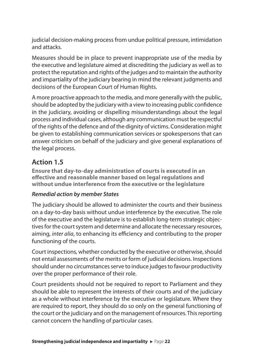judicial decision-making process from undue political pressure, intimidation and attacks.

Measures should be in place to prevent inappropriate use of the media by the executive and legislature aimed at discrediting the judiciary as well as to protect the reputation and rights of the judges and to maintain the authority and impartiality of the judiciary bearing in mind the relevant judgments and decisions of the European Court of Human Rights.

A more proactive approach to the media, and more generally with the public, should be adopted by the judiciary with a view to increasing public confidence in the judiciary, avoiding or dispelling misunderstandings about the legal process and individual cases, although any communication must be respectful of the rights of the defence and of the dignity of victims. Consideration might be given to establishing communication services or spokespersons that can answer criticism on behalf of the judiciary and give general explanations of the legal process.

## **Action 1.5**

**Ensure that day-to-day administration of courts is executed in an effective and reasonable manner based on legal regulations and without undue interference from the executive or the legislature**

#### *Remedial action by member States*

The judiciary should be allowed to administer the courts and their business on a day-to-day basis without undue interference by the executive. The role of the executive and the legislature is to establish long-term strategic objectives for the court system and determine and allocate the necessary resources, aiming, *inter alia*, to enhancing its efficiency and contributing to the proper functioning of the courts.

Court inspections, whether conducted by the executive or otherwise, should not entail assessments of the merits or form of judicial decisions. Inspections should under no circumstances serve to induce judges to favour productivity over the proper performance of their role.

Court presidents should not be required to report to Parliament and they should be able to represent the interests of their courts and of the judiciary as a whole without interference by the executive or legislature. Where they are required to report, they should do so only on the general functioning of the court or the judiciary and on the management of resources. This reporting cannot concern the handling of particular cases.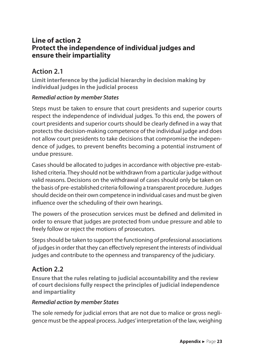### **Line of action 2 Protect the independence of individual judges and ensure their impartiality**

## **Action 2.1**

**Limit interference by the judicial hierarchy in decision making by individual judges in the judicial process**

#### *Remedial action by member States*

Steps must be taken to ensure that court presidents and superior courts respect the independence of individual judges. To this end, the powers of court presidents and superior courts should be clearly defined in a way that protects the decision-making competence of the individual judge and does not allow court presidents to take decisions that compromise the independence of judges, to prevent benefits becoming a potential instrument of undue pressure.

Cases should be allocated to judges in accordance with objective pre-established criteria. They should not be withdrawn from a particular judge without valid reasons. Decisions on the withdrawal of cases should only be taken on the basis of pre-established criteria following a transparent procedure. Judges should decide on their own competence in individual cases and must be given influence over the scheduling of their own hearings.

The powers of the prosecution services must be defined and delimited in order to ensure that judges are protected from undue pressure and able to freely follow or reject the motions of prosecutors.

Steps should be taken to support the functioning of professional associations of judges in order that they can effectively represent the interests of individual judges and contribute to the openness and transparency of the judiciary.

### **Action 2.2**

**Ensure that the rules relating to judicial accountability and the review of court decisions fully respect the principles of judicial independence and impartiality**

#### *Remedial action by member States*

The sole remedy for judicial errors that are not due to malice or gross negligence must be the appeal process. Judges' interpretation of the law, weighing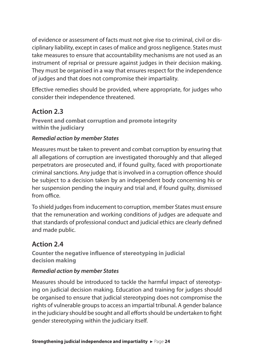of evidence or assessment of facts must not give rise to criminal, civil or disciplinary liability, except in cases of malice and gross negligence. States must take measures to ensure that accountability mechanisms are not used as an instrument of reprisal or pressure against judges in their decision making. They must be organised in a way that ensures respect for the independence of judges and that does not compromise their impartiality.

Effective remedies should be provided, where appropriate, for judges who consider their independence threatened.

## **Action 2.3**

**Prevent and combat corruption and promote integrity within the judiciary**

#### *Remedial action by member States*

Measures must be taken to prevent and combat corruption by ensuring that all allegations of corruption are investigated thoroughly and that alleged perpetrators are prosecuted and, if found guilty, faced with proportionate criminal sanctions. Any judge that is involved in a corruption offence should be subject to a decision taken by an independent body concerning his or her suspension pending the inquiry and trial and, if found guilty, dismissed from office.

To shield judges from inducement to corruption, member States must ensure that the remuneration and working conditions of judges are adequate and that standards of professional conduct and judicial ethics are clearly defined and made public.

### **Action 2.4**

**Counter the negative influence of stereotyping in judicial decision making**

#### *Remedial action by member States*

Measures should be introduced to tackle the harmful impact of stereotyping on judicial decision making. Education and training for judges should be organised to ensure that judicial stereotyping does not compromise the rights of vulnerable groups to access an impartial tribunal. A gender balance in the judiciary should be sought and all efforts should be undertaken to fight gender stereotyping within the judiciary itself.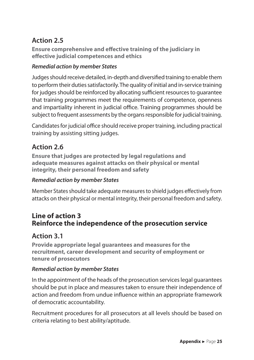## **Action 2.5**

**Ensure comprehensive and effective training of the judiciary in effective judicial competences and ethics**

#### *Remedial action by member States*

Judges should receive detailed, in-depth and diversified training to enable them to perform their duties satisfactorily. The quality of initial and in-service training for judges should be reinforced by allocating sufficient resources to guarantee that training programmes meet the requirements of competence, openness and impartiality inherent in judicial office. Training programmes should be subject to frequent assessments by the organs responsible for judicial training.

Candidates for judicial office should receive proper training, including practical training by assisting sitting judges.

## **Action 2.6**

**Ensure that judges are protected by legal regulations and adequate measures against attacks on their physical or mental integrity, their personal freedom and safety**

#### *Remedial action by member States*

Member States should take adequate measures to shield judges effectively from attacks on their physical or mental integrity, their personal freedom and safety.

## **Line of action 3 Reinforce the independence of the prosecution service**

### **Action 3.1**

**Provide appropriate legal guarantees and measures for the recruitment, career development and security of employment or tenure of prosecutors**

#### *Remedial action by member States*

In the appointment of the heads of the prosecution services legal guarantees should be put in place and measures taken to ensure their independence of action and freedom from undue influence within an appropriate framework of democratic accountability.

Recruitment procedures for all prosecutors at all levels should be based on criteria relating to best ability/aptitude.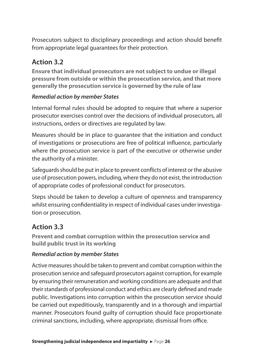Prosecutors subject to disciplinary proceedings and action should benefit from appropriate legal guarantees for their protection.

## **Action 3.2**

**Ensure that individual prosecutors are not subject to undue or illegal pressure from outside or within the prosecution service, and that more generally the prosecution service is governed by the rule of law**

#### *Remedial action by member States*

Internal formal rules should be adopted to require that where a superior prosecutor exercises control over the decisions of individual prosecutors, all instructions, orders or directives are regulated by law.

Measures should be in place to guarantee that the initiation and conduct of investigations or prosecutions are free of political influence, particularly where the prosecution service is part of the executive or otherwise under the authority of a minister.

Safeguards should be put in place to prevent conflicts of interest or the abusive use of prosecution powers, including, where they do not exist, the introduction of appropriate codes of professional conduct for prosecutors.

Steps should be taken to develop a culture of openness and transparency whilst ensuring confidentiality in respect of individual cases under investigation or prosecution.

## **Action 3.3**

**Prevent and combat corruption within the prosecution service and build public trust in its working**

#### *Remedial action by member States*

Active measures should be taken to prevent and combat corruption within the prosecution service and safeguard prosecutors against corruption, for example by ensuring their remuneration and working conditions are adequate and that their standards of professional conduct and ethics are clearly defined and made public. Investigations into corruption within the prosecution service should be carried out expeditiously, transparently and in a thorough and impartial manner. Prosecutors found guilty of corruption should face proportionate criminal sanctions, including, where appropriate, dismissal from office.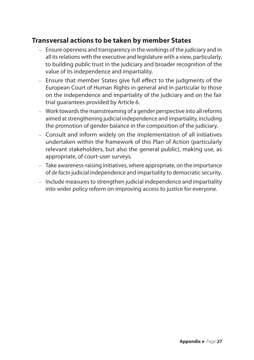## **Transversal actions to be taken by member States**

- Ensure openness and transparency in the workings of the judiciary and in all its relations with the executive and legislature with a view, particularly, to building public trust in the judiciary and broader recognition of the value of its independence and impartiality.
- Ensure that member States give full effect to the judgments of the European Court of Human Rights in general and in particular to those on the independence and impartiality of the judiciary and on the fair trial guarantees provided by Article 6.
- Work towards the mainstreaming of a gender perspective into all reforms aimed at strengthening judicial independence and impartiality, including the promotion of gender balance in the composition of the judiciary.
- Consult and inform widely on the implementation of all initiatives undertaken within the framework of this Plan of Action (particularly relevant stakeholders, but also the general public), making use, as appropriate, of court-user surveys.
- Take awareness-raising initiatives, where appropriate, on the importance of *de facto* judicial independence and impartiality to democratic security.
- Include measures to strengthen judicial independence and impartiality into wider policy reform on improving access to justice for everyone.